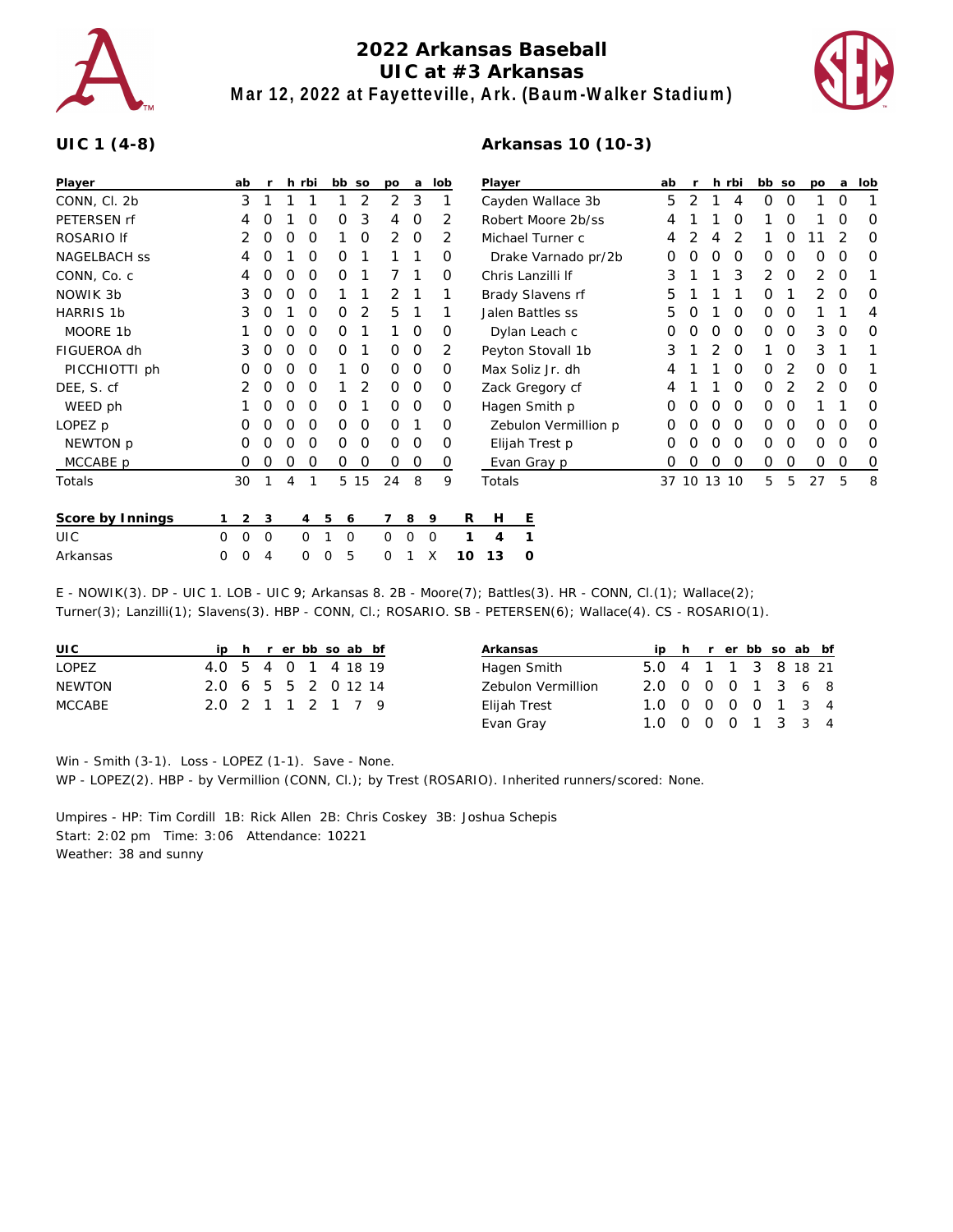

## **2022 Arkansas Baseball UIC at #3 Arkansas Mar 12, 2022 at Fayetteville, Ark. (Baum-Walker Stadium)**

**Arkansas 10 (10-3)**



## **UIC 1 (4-8)**

| Player              |   | ab             | $\mathsf{r}$ |   | h rbi    | bb so  |      | po             | a       | lob         |    | Player               |   | ab                |   |       | h rbi | bb so    |          | po       | a        | lob |          |   |
|---------------------|---|----------------|--------------|---|----------|--------|------|----------------|---------|-------------|----|----------------------|---|-------------------|---|-------|-------|----------|----------|----------|----------|-----|----------|---|
| CONN, Cl. 2b        |   | 3              |              |   |          |        | 2    | $\overline{2}$ | 3       |             |    | Cayden Wallace 3b    |   | 5                 | 2 |       | 4     | $\Omega$ | 0        |          | 0        |     |          |   |
| PETERSEN rf         |   | 4              | O            |   | Ο        | O      | 3    | 4              | $\circ$ |             | 2  | Robert Moore 2b/ss   |   |                   |   | 4     |       |          | O        |          | O        |     | O        | O |
| ROSARIO If          |   | 2              | O            | O | O        |        | 0    | 2              | $\circ$ |             | 2  | Michael Turner c     |   |                   |   | 4     |       |          |          |          | Ο        |     |          | O |
| <b>NAGELBACH SS</b> |   | 4              | O            |   | 0        | O      |      |                |         |             | 0  | Drake Varnado pr/2b  |   |                   |   | 0     | Ο     | O        | 0        | O        | $\Omega$ | 0   | $\Omega$ | O |
| CONN, Co. c         |   | 4              | O            | Ο | 0        | O      |      |                |         |             | 0  | Chris Lanzilli If    |   |                   |   | 3     |       |          | 3        | 2        | 0        | 2   | 0        |   |
| NOWIK 3b            |   | 3              | O            | O | 0        |        |      | $\overline{2}$ |         |             |    | Brady Slavens rf     |   |                   |   | 5     |       |          |          | 0        |          | 2   | 0        | O |
| <b>HARRIS 1b</b>    |   | 3              | O            |   | 0        | Ο      | 2    | 5              |         |             |    | Jalen Battles ss     |   |                   | 5 |       |       | 0        | 0        | $\Omega$ |          |     | 4        |   |
| MOORE 1b            |   |                | O            | O | $\Omega$ | O      |      |                | 0       |             | O  | Dylan Leach c        |   |                   | Ο | Ο     | O     | 0        | $\Omega$ | $\Omega$ | 3        | 0   | O        |   |
| FIGUEROA dh         |   | 3              | 0            | O | $\Omega$ | 0      |      | 0              | $\circ$ |             | 2  |                      |   | Peyton Stovall 1b |   | 3     |       | 2        | 0        |          | $\Omega$ | 3   |          |   |
| PICCHIOTTI ph       |   | O              | O            | Ο | 0        |        | 0    | 0              | 0       |             | 0  | Max Soliz Jr. dh     |   |                   |   |       |       | O        | 0        | 2        | 0        | 0   |          |   |
| DEE, S. cf          |   |                | O            | O | O        |        | 2    | $\Omega$       | 0       |             | 0  | Zack Gregory cf      |   |                   | 4 |       |       | 0        | 0        | 2        | 2        | 0   | O        |   |
| WEED ph             |   |                |              | 0 | O        | Ο      |      | 0              | $\circ$ |             | 0  | Hagen Smith p        |   |                   | Ο |       | Ο     | O        | 0        | $\Omega$ |          |     | O        |   |
| LOPEZ p             |   | 0              | O            | O | 0        | 0      | 0    | $\Omega$       |         |             | 0  | Zebulon Vermillion p |   |                   | 0 | O     | O     | 0        | $\Omega$ | 0        | 0        | 0   | O        |   |
| NEWTON p            |   | 0              | O            | O | 0        | 0      | 0    | $\Omega$       | $\circ$ |             | 0  | Elijah Trest p       |   |                   | 0 | O     | O     | 0        | 0        | $\Omega$ | 0        | 0   | O        |   |
| MCCABE p            |   | 0              | 0            | 0 | 0        | 0      | 0    | 0              | 0       |             | 0  |                      |   | Evan Gray p       |   | O     | O     | O        | 0        | 0        | 0        | 0   | 0        | 0 |
| Totals              |   | 30             |              | 4 | 1        |        | 5 15 | 24             | 8       |             | 9  | Totals               |   |                   |   | 37 10 |       | 13 10    |          | 5        | 5        | 27  | 5        | 8 |
| Score by Innings    |   | $\overline{2}$ | 3            |   | 4        | 5<br>6 |      | 7              | 8       | 9           | R  | H                    | Ε |                   |   |       |       |          |          |          |          |     |          |   |
| <b>UIC</b>          | 0 | $\Omega$       | 0            |   | $\Omega$ | 0      |      | $\Omega$       | ∩       | $\mathbf 0$ |    | 4                    |   |                   |   |       |       |          |          |          |          |     |          |   |
| Arkansas            | 0 | 0              | 4            |   | $\Omega$ | 5<br>0 |      | 0              |         | X           | 10 | 13                   | O |                   |   |       |       |          |          |          |          |     |          |   |

E - NOWIK(3). DP - UIC 1. LOB - UIC 9; Arkansas 8. 2B - Moore(7); Battles(3). HR - CONN, Cl.(1); Wallace(2); Turner(3); Lanzilli(1); Slavens(3). HBP - CONN, Cl.; ROSARIO. SB - PETERSEN(6); Wallace(4). CS - ROSARIO(1).

| UI C   |                     |  |  | ip h r er bb so ab bf |  |
|--------|---------------------|--|--|-----------------------|--|
| LOPEZ  | 4.0 5 4 0 1 4 18 19 |  |  |                       |  |
| NEWTON | 20 6 5 5 2 0 12 14  |  |  |                       |  |
| MCCABE | 2.0 2 1 1 2 1 7 9   |  |  |                       |  |

| Arkansas           |                     |  | ip h r er bb so ab bf |  |  |
|--------------------|---------------------|--|-----------------------|--|--|
| Hagen Smith        | 5.0 4 1 1 3 8 18 21 |  |                       |  |  |
| Zebulon Vermillion | 2.0 0 0 0 1 3 6 8   |  |                       |  |  |
| Elijah Trest       | 1.0 0 0 0 0 1 3 4   |  |                       |  |  |
| Evan Gray          | 1.0 0 0 0 1 3 3 4   |  |                       |  |  |

Win - Smith (3-1). Loss - LOPEZ (1-1). Save - None. WP - LOPEZ(2). HBP - by Vermillion (CONN, Cl.); by Trest (ROSARIO). Inherited runners/scored: None.

Umpires - HP: Tim Cordill 1B: Rick Allen 2B: Chris Coskey 3B: Joshua Schepis Start: 2:02 pm Time: 3:06 Attendance: 10221 Weather: 38 and sunny